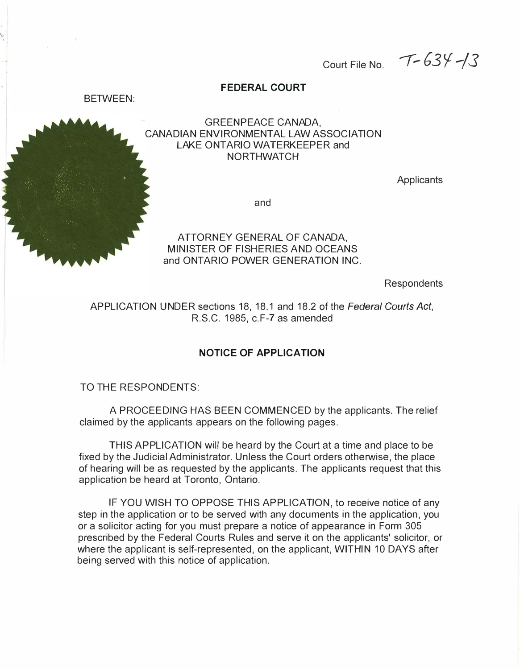Court File No.  $T-634/3$ 

# FEDERAL COURT



### GREENPEACE CANADA, CANADIAN ENVIRONMENTAL LAW ASSOCIATION LAKE ONTARIO WATERKEEPER and **NORTHWATCH**

**Applicants** 

and

ATTORNEY GENERAL OF CANADA, MINISTER OF FISHERIES AND OCEANS and ONTARIO POWER GENERATION INC.

Respondents

APPLICATION UNDER sections 18, 18.1 and 18.2 of the Federal Courts Act, R.S.C. 1985, c.F-7 as amended

### NOTICE OF APPLICATION

TO THE RESPONDENTS:

A PROCEEDING HAS BEEN COMMENCED by the applicants. The relief claimed by the applicants appears on the following pages.

THIS APPLICATION will be heard by the Court at a time and place to be fixed by the Judicial Administrator. Unless the Court orders otherwise, the place of hearing will be as requested by the applicants. The applicants request that this application be heard at Toronto, Ontario.

IF YOU WISH TO OPPOSE THIS APPLICATION, to receive notice of any step in the application or to be served with any documents in the application, you or a solicitor acting for you must prepare a notice of appearance in Form 305 prescribed by the Federal Courts Rules and serve it on the applicants' solicitor, or where the applicant is self-represented, on the applicant, WITHIN 10 DAYS after being served with this notice of application.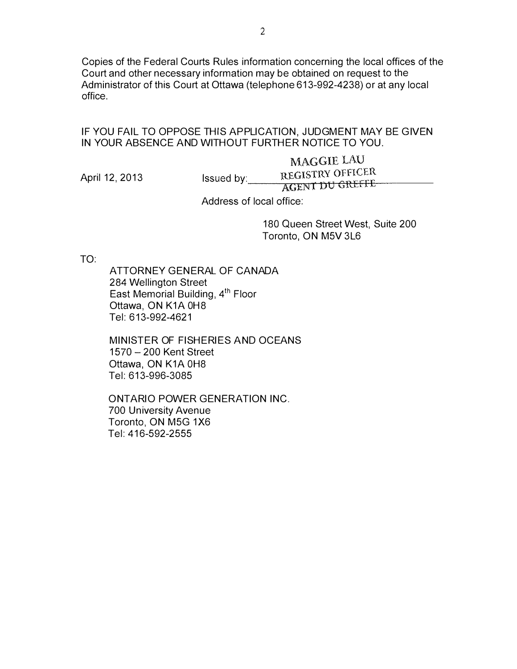Copies of the Federal Courts Rules information concerning the local offices of the Court and other necessary information may be obtained on request to the Administrator of this Court at Ottawa (telephone 613-992-423S) or at any local office.

#### IF YOU FAIL TO OPPOSE THIS APPLICATION, JUDGMENT MAY BE GIVEN IN YOUR ABSENCE AND WITHOUT FURTHER NOTICE TO YOU.

MAGGIE LAU April 12, 2013 **Issued by:** REGISTRY OFFICER AGENT DU GREFFE

Address of local office:

180 Queen Street West, Suite 200 Toronto, ON M5V 3L6

TO:

ATTORNEY GENERAL OF CANADA 284 Wellington Street East Memorial Building, 4<sup>th</sup> Floor Ottawa, ON K1A OHS Tel: 6 13-992-4621

MINISTER OF FISHERIES AND OCEANS 1570 - 200 Kent Street Ottawa, ON K1A 0H8 Tel: 613-996-30S5

ONTARIO POWER GENERATION INC. 700 University Avenue Toronto, ON M5G 1X6 Tel: 416-592-2555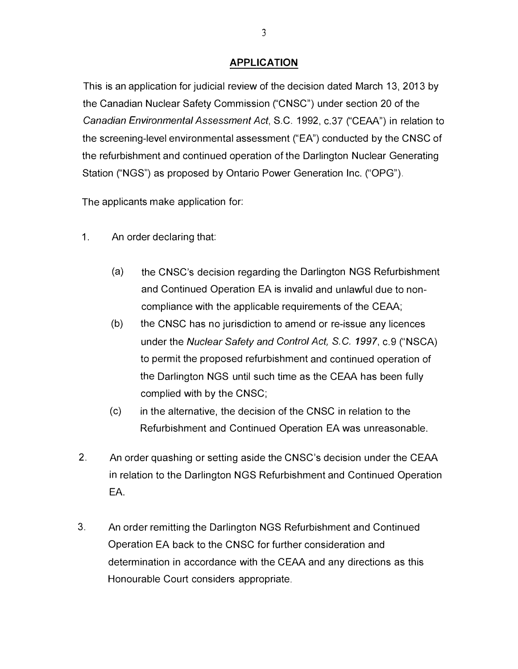## APPLICATION

This is an application for judicial review of the decision dated March 13, 2013 by the Canadian Nuclear Safety Commission ("CNSC") under section 20 of the Canadian Environmental Assessment Act, S.C. 1992, c.37 ("CEAA") in relation to the screening-level environmental assessment ("EA") conducted by the CNSC of the refurbishment and continued operation of the Darlington Nuclear Generating Station ("NGS") as proposed by Ontario Power Generation Inc. ("OPG").

The applicants make application for:

- 1. An order declaring that:
	- (a) the CNSC's decision regarding the Darlington NGS Refurbishment and Continued Operation EA is invalid and unlawful due to noncompliance with the applicable requirements of the CEAA;
	- (b) the CNSC has no jurisdiction to amend or re-issue any licences under the Nuclear Safety and Control Act, S.C. 1997, c.9 ("NSCA) to permit the proposed refurbishment and continued operation of the Darlington NGS until such time as the CEAA has been fully complied with by the CNSC;
	- (c) in the alternative, the decision of the CNSC in relation to the Refurbishment and Continued Operation EA was unreasonable.
- 2. An order quashing or setting aside the CNSC's decision under the CEAA in relation to the Darlington NGS Refurbishment and Continued Operation EA.
- 3. An order remitting the Darlington NGS Refurbishment and Continued Operation EA back to the CNSC for further consideration and determination in accordance with the CEAA and any directions as this Honourable Court considers appropriate.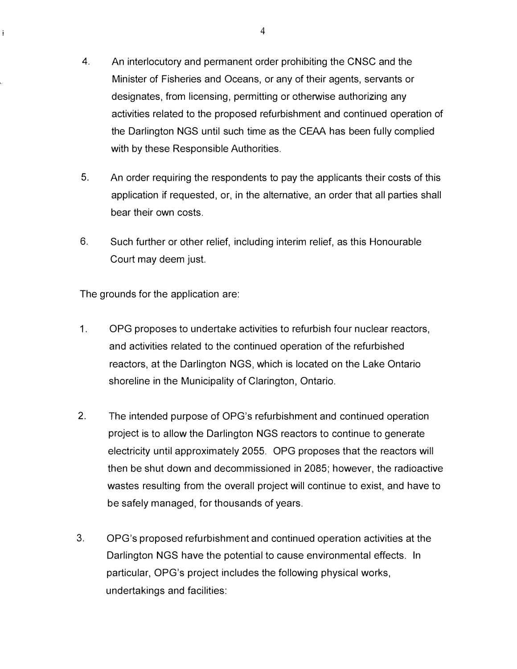- 4. An interlocutory and permanent order prohibiting the CNSC and the Minister of Fisheries and Oceans, or any of their agents, servants or designates, from licensing, permitting or otherwise authorizing any activities related to the proposed refurbishment and continued operation of the Darlington NGS until such time as the CEAA has been fully complied with by these Responsible Authorities.
- 5. An order requiring the respondents to pay the applicants their costs of this application if requested, or, in the alternative, an order that all parties shall bear their own costs.
- 6. Such further or other relief, including interim relief, as this Honourable Court may deem just.

The grounds for the application are:

 $\mathbf{i}$ 

- 1. OPG proposes to undertake activities to refurbish four nuclear reactors, and activities related to the continued operation of the refurbished reactors, at the Darlington NGS, which is located on the Lake Ontario shoreline in the Municipality of Clarington, Ontario.
- 2. The intended purpose of OPG's refurbishment and continued operation project is to allow the Darlington NGS reactors to continue to generate electricity until approximately 2055. OPG proposes that the reactors will then be shut down and decommissioned in 2085; however, the radioactive wastes resulting from the overall project will continue to exist, and have to be safely managed, for thousands of years.
- 3. OPG's proposed refurbishment and continued operation activities at the Darlington NGS have the potential to cause environmental effects. In particular, OPG's project includes the following physical works, undertakings and facilities: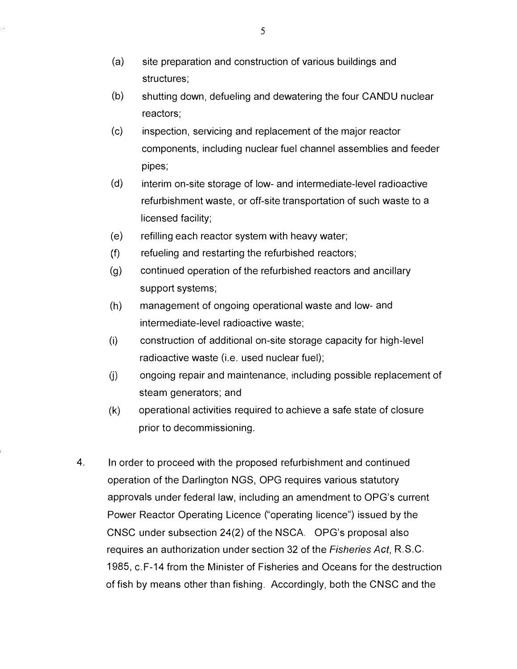- (a) site preparation and construction of various buildings and structures;
- (b) shutting down, defueling and dewatering the four CANDU nuclear reactors;
- (c) inspection, servicing and replacement of the major reactor components, including nuclear fuel channel assemblies and feeder pipes;
- (d) interim on-site storage of low- and intermediate-level radioactive refurbishment waste, or off-site transportation of such waste to a licensed facility;
- (e) refilling each reactor system with heavy water;
- (f) refueling and restarting the refurbished reactors;
- (g) continued operation of the refurbished reactors and ancillary support systems;
- (h) management of ongoing operational waste and low- and intermediate-level radioactive waste;
- (i) construction of additional on-site storage capacity for high-level radioactive waste (i.e. used nuclear fuel);
- $\phi$  ongoing repair and maintenance, including possible replacement of steam generators; and
- (k) operational activities required to achieve a safe state of closure prior to decommissioning.
- 4. In order to proceed with the proposed refurbishment and continued operation of the Darlington NGS, OPG requires various statutory approvals under federal law, including an amendment to OPG's current Power Reactor Operating Licence ("operating licence") issued by the CNSC under subsection 24(2) of the NSCA. OPG's proposal also requires an authorization under section 32 of the Fisheries Act, R.S.C. 1985, c. F-14 from the Minister of Fisheries and Oceans for the destruction of fish by means other than fishing. Accordingly, both the CNSC and the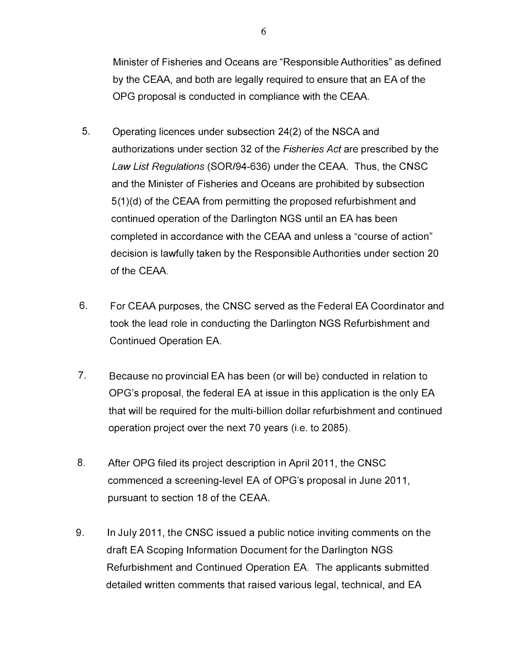Minister of Fisheries and Oceans are "Responsible Authorities" as defined by the CEAA, and both are legally required to ensure that an EA of the OPG proposal is conducted in compliance with the CEAA.

- 5. Operating licences under subsection 24(2) of the NSCA and authorizations under section 32 of the Fisheries Act are prescribed by the Law List Regulations (SOR/94-636) under the CEAA. Thus, the CNSC and the Minister of Fisheries and Oceans are prohibited by subsection 5(1 )(d) of the CEAA from permitting the proposed refurbishment and continued operation of the Darlington NGS until an EA has been completed in accordance with the CEAA and unless a "course of action" decision is lawfully taken by the Responsible Authorities under section 20 of the CEAA.
- 6. For CEAA purposes, the CNSC served as the Federal EA Coordinator and took the lead role in conducting the Darlington NGS Refurbishment and Continued Operation EA.
- 7. Because no provincial EA has been (or will be) conducted in relation to OPG's proposal, the federal EA at issue in this application is the only EA that will be required for the multi-billion dollar refurbishment and continued operation project over the next 70 years (i.e. to 2085).
- 8. After OPG filed its project description in April 2011, the CNSC commenced a screening-level EA of OPG's proposal in June 2011. pursuant to section 18 of the CEAA.
- 9. In July 2011, the CNSC issued a public notice inviting comments on the draft EA Scoping Information Document for the Darlington NGS Refurbishment and Continued Operation EA. The applicants submitted detailed written comments that raised various legal, technical, and EA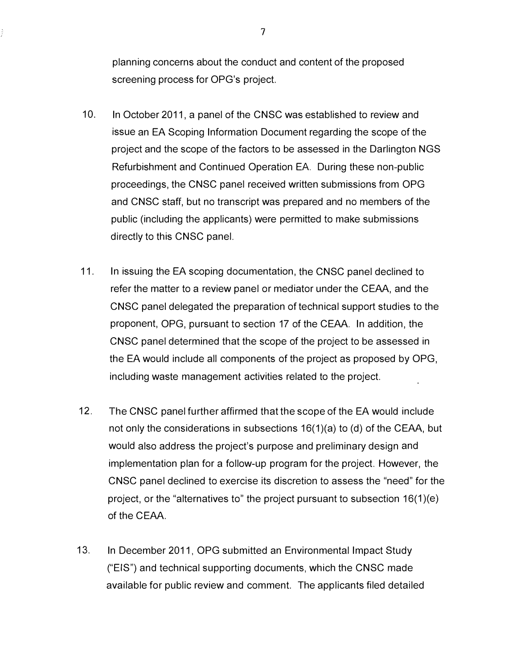planning concerns about the conduct and content of the proposed screening process for OPG's project.

- 10. In October 2011, a panel of the CNSC was established to review and issue an EA Scoping Information Document regarding the scope of the project and the scope of the factors to be assessed in the Darlington NGS Refurbishment and Continued Operation EA. During these non-public proceedings, the CNSC panel received written submissions from OPG and CNSC staff, but no transcript was prepared and no members of the public (including the applicants) were permitted to make submissions directly to this CNSC panel.
- 11. In issuing the EA scoping documentation, the CNSC panel declined to refer the matter to a review panel or mediator under the CEAA, and the CNSC panel delegated the preparation of technical support studies to the proponent, OPG, pursuant to section 17 of the CEAA. In addition, the CNSC panel determined that the scope of the project to be assessed in the EA would include all components of the project as proposed by OPG, including waste management activities related to the project.
- 12. The CNSC panel further affirmed that the scope of the EA would include not only the considerations in subsections 16(1)(a) to (d) of the CEAA, but would also address the project's purpose and preliminary design and implementation plan for a follow-up program for the project. However, the CNSC panel declined to exercise its discretion to assess the "need" for the project, or the "alternatives to" the project pursuant to subsection  $16(1)(e)$ of the CEAA.
- 13. In December 2011, OPG submitted an Environmental Impact Study ("EIS") and technical supporting documents, which the CNSC made available for public review and comment. The applicants filed detailed

7

ž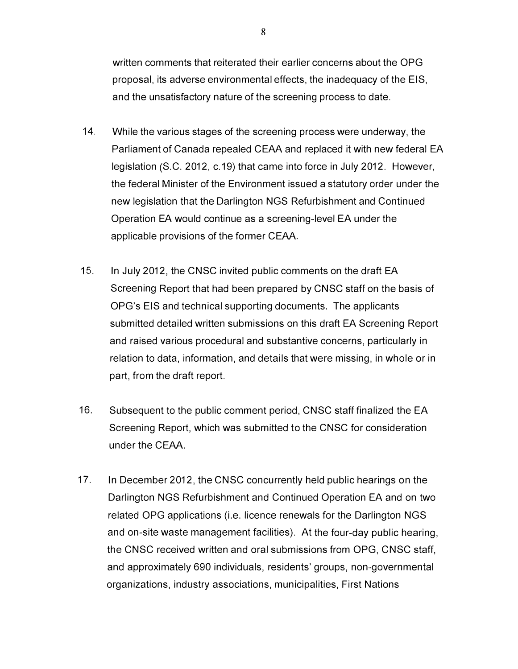written comments that reiterated their earlier concerns about the OPG proposal, its adverse environmental effects, the inadequacy of the EIS, and the unsatisfactory nature of the screening process to date.

- 14. While the various stages of the screening process were underway, the Parliament of Canada repealed CEAA and replaced it with new federal EA legislation (S.C. 2012, c. 19) that came into force in July 2012. However, the federal Minister of the Environment issued a statutory order under the new legislation that the Darlington NGS Refurbishment and Continued Operation EA would continue as a screening-level EA under the applicable provisions of the former CEAA.
- 15. In July 2012, the CNSC invited public comments on the draft EA Screening Report that had been prepared by CNSC staff on the basis of OPG's EIS and technical supporting documents. The applicants submitted detailed written submissions on this draft EA Screening Report and raised various procedural and substantive concerns, particularly in relation to data, information, and details that were missing, in whole or in part, from the draft report.
- 16. Subsequent to the public comment period, CNSC staff finalized the EA Screening Report, which was submitted to the CNSC for consideration under the CEAA.
- 17. In December 2012, the CNSC concurrently held public hearings on the Darlington NGS Refurbishment and Continued Operation EA and on two related OPG applications (i.e. licence renewals for the Darlington NGS and on-site waste management facilities). At the four-day public hearing, the CNSC received written and oral submissions from OPG, CNSC staff, and approximately 690 individuals, residents' groups, non-governmental organizations, industry associations, municipalities, First Nations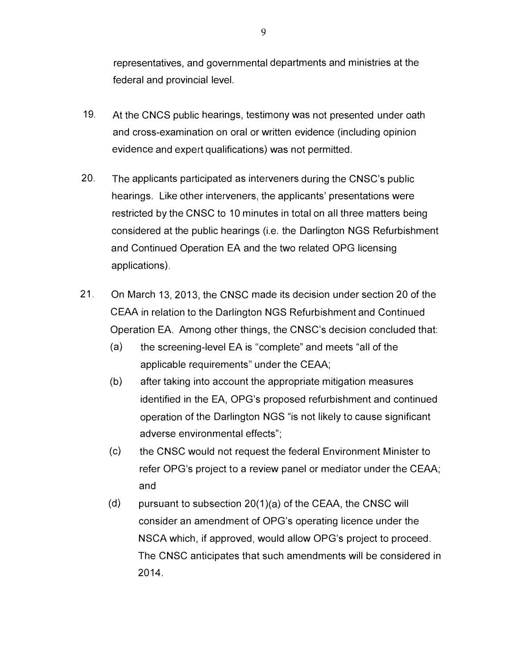representatives, and governmental departments and ministries at the federal and provincial level.

- 19. At the CNCS public hearings, testimony was not presented under oath and cross-examination on oral or written evidence (including opinion evidence and expert qualifications) was not permitted.
- 20. The applicants participated as interveners during the CNSC's public hearings. Like other interveners, the applicants' presentations were restricted by the CNSC to 10 minutes in total on all three matters being considered at the public hearings (i.e. the Darlington NGS Refurbishment and Continued Operation EA and the two related OPG licensing applications).
- 21. On March 13, 2013, the CNSC made its decision under section 20 of the CEAA in relation to the Darlington NGS Refurbishment and Continued Operation EA. Among other things, the CNSC's decision concluded that:
	- (a) the screening-level EA is "complete" and meets "all of the applicable requirements" under the CEAA;
	- (b) after taking into account the appropriate mitigation measures identified in the EA, OPG's proposed refurbishment and continued operation of the Darlington NGS "is not likely to cause significant adverse environmental effects";
	- (c) the CNSC would not request the federal Environment Minister to refer OPG's project to a review panel or mediator under the CEAA; and
	- (d) pursuant to subsection  $20(1)(a)$  of the CEAA, the CNSC will consider an amendment of OPG's operating licence under the NSCA which, if approved, would allow OPG's project to proceed. The CNSC anticipates that such amendments will be considered in 2014.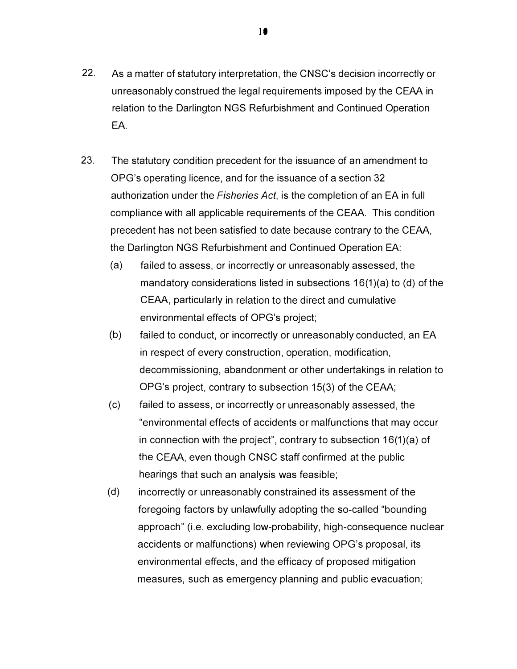- 22. As a matter of statutory interpretation, the CNSC's decision incorrectly or unreasonably construed the legal requirements imposed by the CEAA in relation to the Darlington NGS Refurbishment and Continued Operation EA.
- 23. The statutory condition precedent for the issuance of an amendment to OPG's operating licence, and for the issuance of a section 32 authorization under the Fisheries Act, is the completion of an EA in full compliance with all applicable requirements of the CEAA. This condition precedent has not been satisfied to date because contrary to the CEAA, the Darlington NGS Refurbishment and Continued Operation EA:
	- (a) failed to assess, or incorrectly or unreasonably assessed, the mandatory considerations listed in subsections 16(1)(a) to (d) of the CEAA, particularly in relation to the direct and cumulative environmental effects of OPG's project;
	- (b) failed to conduct, or incorrectly or unreasonably conducted, an EA in respect of every construction, operation, modification, decommissioning, abandonment or other undertakings in relation to OPG's project, contrary to subsection 15(3) of the CEAA;
	- (c) failed to assess, or incorrectly or unreasonably assessed, the "environmental effects of accidents or malfunctions that may occur in connection with the project", contrary to subsection 16(1 )(a) of the CEAA, even though CNSC staff confirmed at the public hearings that such an analysis was feasible;
	- (d) incorrectly or unreasonably constrained its assessment of the foregoing factors by unlawfully adopting the so-called "bounding approach" (i.e. excluding low-probability, high-consequence nuclear accidents or malfunctions) when reviewing OPG's proposal, its environmental effects, and the efficacy of proposed mitigation measures, such as emergency planning and public evacuation;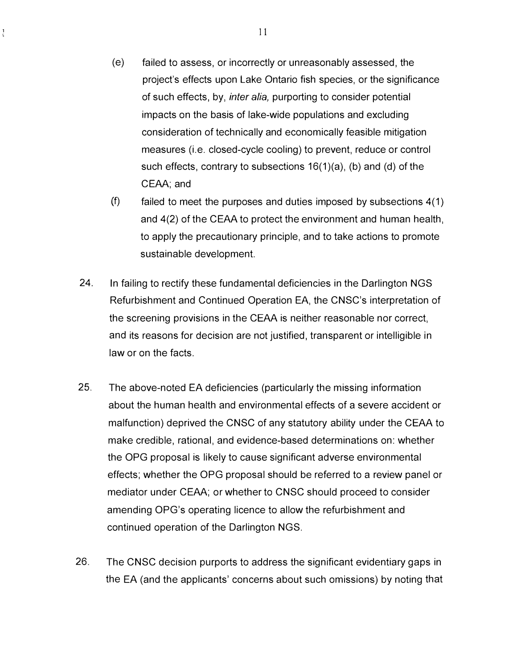- ( e) failed to assess, or incorrectly or unreasonably assessed, the project's effects upon Lake Ontario fish species, or the significance of such effects, by, *inter alia*, purporting to consider potential impacts on the basis of lake-wide populations and excluding consideration of technically and economically feasible mitigation measures (i.e. closed-cycle cooling) to prevent, reduce or control such effects, contrary to subsections 16(1)(a), (b) and (d) of the CEAA; and
- $(f)$  failed to meet the purposes and duties imposed by subsections  $4(1)$ and 4(2) of the CEAA to protect the environment and human health, to apply the precautionary principle, and to take actions to promote sustainable development.
- 24. In failing to rectify these fundamental deficiencies in the Darlington NGS Refurbishment and Continued Operation EA, the CNSC's interpretation of the screening provisions in the CEAA is neither reasonable nor correct, and its reasons for decision are not justified, transparent or intelligible in law or on the facts.
- 25. The above-noted EA deficiencies (particularly the missing information about the human health and environmental effects of a severe accident or malfunction) deprived the CNSC of any statutory ability under the CEAA to make credible, rational, and evidence-based determinations on: whether the OPG proposal is likely to cause significant adverse environmental effects; whether the OPG proposal should be referred to a review panel or mediator under CEAA; or whether to CNSC should proceed to consider amending OPG's operating licence to allow the refurbishment and continued operation of the Darlington NGS.
- 26. The CNSC decision purports to address the significant evidentiary gaps in the EA (and the applicants' concerns about such omissions) by noting that

 $\frac{1}{2}$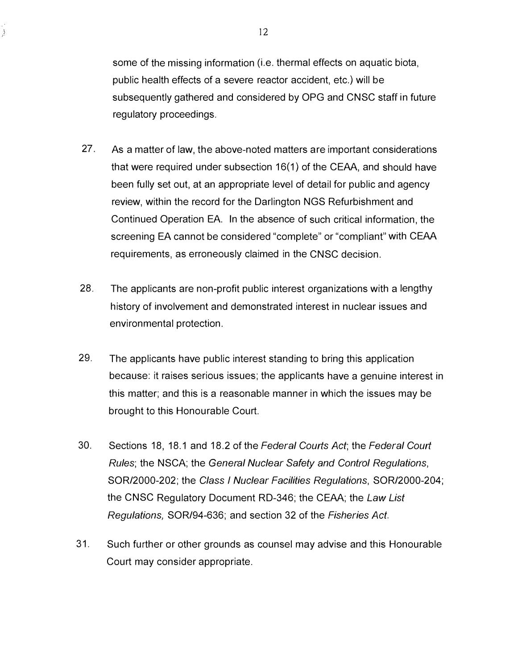some of the missing information (i.e. thermal effects on aquatic biota, public health effects of a severe reactor accident, etc.) will be subsequently gathered and considered by OPG and CNSC staff in future regulatory proceedings.

- 27. As a matter of law, the above-noted matters are important considerations that were required under subsection  $16(1)$  of the CEAA, and should have been fully set out, at an appropriate level of detail for public and agency review, within the record for the Darlington NGS Refurbishment and Continued Operation EA. In the absence of such critical information, the screening EA cannot be considered "complete" or "compliant" with CEAA requirements, as erroneously claimed in the CNSC decision.
- 28. The applicants are non-profit public interest organizations with a lengthy history of involvement and demonstrated interest in nuclear issues and environmental protection.
- 29. The applicants have public interest standing to bring this application because: it raises serious issues; the applicants have a genuine interest in this matter; and this is a reasonable manner in which the issues may be brought to this Honourable Court.
- 30. Sections 18, 18.1 and 18.2 of the Federal Courts Act; the Federal Court Rules; the NSCA; the General Nuclear Safety and Control Regulations, SOR/2000-202; the Class I Nuclear Facilities Regulations, SOR/2000-204; the CNSC Regulatory Document RD-346; the CEAA; the Law List Regulations, SOR/94-636; and section 32 of the Fisheries Act.
- 3 1. Such further or other grounds as counsel may advise and this Honourable Court may consider appropriate.

 $\frac{3}{2}$